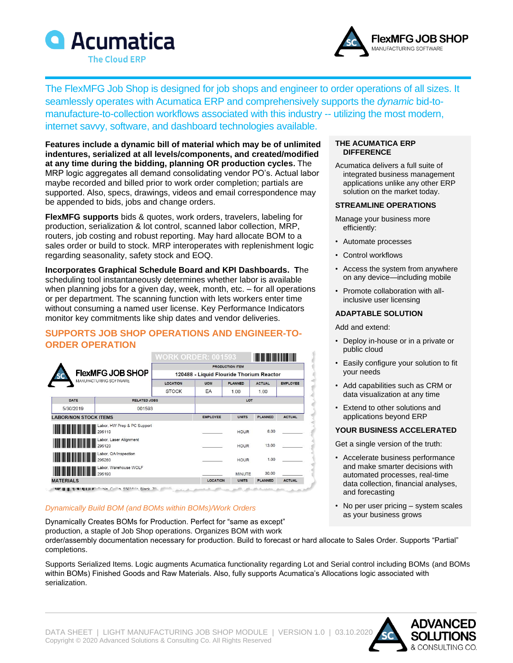



The FlexMFG Job Shop is designed for job shops and engineer to order operations of all sizes. It seamlessly operates with Acumatica ERP and comprehensively supports the *dynamic* bid-tomanufacture-to-collection workflows associated with this industry -- utilizing the most modern, internet savvy, software, and dashboard technologies available.

**Features include a dynamic bill of material which may be of unlimited indentures, serialized at all levels/components, and created/modified at any time during the bidding, planning OR production cycles.** The MRP logic aggregates all demand consolidating vendor PO's. Actual labor maybe recorded and billed prior to work order completion; partials are supported. Also, specs, drawings, videos and email correspondence may be appended to bids, jobs and change orders.

**FlexMFG supports** bids & quotes, work orders, travelers, labeling for production, serialization & lot control, scanned labor collection, MRP, routers, job costing and robust reporting. May hard allocate BOM to a sales order or build to stock. MRP interoperates with replenishment logic regarding seasonality, safety stock and EOQ.

**Incorporates Graphical Schedule Board and KPI Dashboards. T**he scheduling tool instantaneously determines whether labor is available when planning jobs for a given day, week, month, etc. – for all operations or per department. The scanning function with lets workers enter time without consuming a named user license. Key Performance Indicators monitor key commitments like ship dates and vendor deliveries.

## **SUPPORTS JOB SHOP OPERATIONS AND ENGINEER-TO-ORDER OPERATION**

|                                                                |        | <b>WORK ORDER: 001593</b>                                          |                     |               |                |               |
|----------------------------------------------------------------|--------|--------------------------------------------------------------------|---------------------|---------------|----------------|---------------|
| <b>FlexMFG JOB SHOP</b><br><b>SC</b><br>MANUFACTURING SOFTWARE |        | <b>PRODUCTION ITEM</b><br>120488 - Liquid Flouride Thorium Reactor |                     |               |                |               |
|                                                                |        |                                                                    |                     |               |                |               |
|                                                                |        | <b>STOCK</b>                                                       | EA                  | 1.00          | 1.00           |               |
|                                                                |        | DATE                                                               | <b>RELATED JOBS</b> |               | LOT            |               |
| 5/30/2019                                                      | 001593 |                                                                    |                     |               |                |               |
| <b>LABOR/NON STOCK ITEMS</b>                                   |        |                                                                    | <b>EMPLOYEE</b>     | <b>UNITS</b>  | <b>PLANNED</b> | <b>ACTUAL</b> |
| Labor, HW Prep & PC Support<br>295110                          |        |                                                                    |                     | <b>HOUR</b>   | 8.00           |               |
| <b>All All Mary Labor, Laser Alignment</b>                     |        |                                                                    |                     | <b>HOUR</b>   | 13.00          |               |
| <b>All Sand District</b> Labor, QA/Inspection                  |        |                                                                    |                     | <b>HOUR</b>   | 1.00           |               |
| <b>All Sand Street West 10 Mars Warehouse WOLF</b>             |        |                                                                    |                     | <b>MINUTE</b> | 30.00          |               |
| <b>MATERIALS</b>                                               |        |                                                                    | LOCATION            | <b>UNITS</b>  | <b>PLANNED</b> | <b>ACTUAL</b> |

## *Dynamically Build BOM (and BOMs within BOMs)/Work Orders*

Dynamically Creates BOMs for Production. Perfect for "same as except" production, a staple of Job Shop operations. Organizes BOM with work

#### **THE ACUMATICA ERP DIFFERENCE**

Acumatica delivers a full suite of integrated business management applications unlike any other ERP solution on the market today.

#### **STREAMLINE OPERATIONS**

- Manage your business more efficiently:
- Automate processes
- Control workflows
- Access the system from anywhere on any device—including mobile
- Promote collaboration with allinclusive user licensing

## **ADAPTABLE SOLUTION**

Add and extend:

- Deploy in-house or in a private or public cloud
- Easily configure your solution to fit your needs
- Add capabilities such as CRM or data visualization at any time
- Extend to other solutions and applications beyond ERP

#### **YOUR BUSINESS ACCELERATED**

Get a single version of the truth:

- Accelerate business performance and make smarter decisions with automated processes, real-time data collection, financial analyses, and forecasting
- No per user pricing system scales as your business grows

order/assembly documentation necessary for production. Build to forecast or hard allocate to Sales Order. Supports "Partial" completions.

Supports Serialized Items. Logic augments Acumatica functionality regarding Lot and Serial control including BOMs (and BOMs within BOMs) Finished Goods and Raw Materials. Also, fully supports Acumatica's Allocations logic associated with serialization.